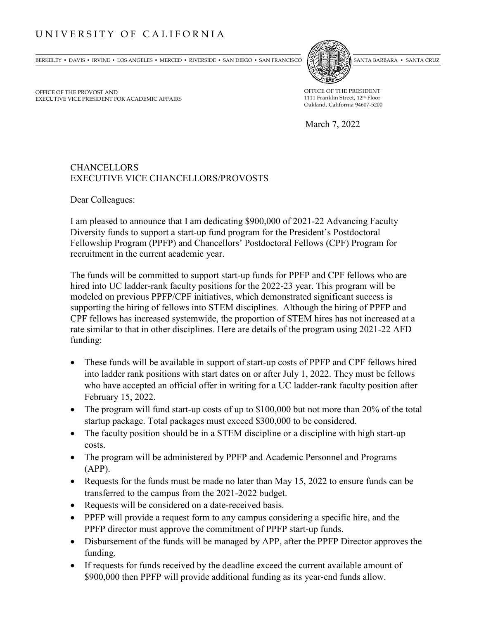## UNIVERSITY OF CALIFORNIA

BERKELEY • DAVIS • IRVINE • LOS ANGELES • MERCED • RIVERSIDE • SAN DIEGO • SAN FRANCISCO (SZENEGO » SANTA BARBARA • SANTA CRUZ



OFFICE OF THE PROVOST AND EXECUTIVE VICE PRESIDENT FOR ACADEMIC AFFAIRS OFFICE OF THE PRESIDENT 1111 Franklin Street, 12th Floor Oakland, California 94607-5200

March 7, 2022

## CHANCELLORS EXECUTIVE VICE CHANCELLORS/PROVOSTS

Dear Colleagues:

I am pleased to announce that I am dedicating \$900,000 of 2021-22 Advancing Faculty Diversity funds to support a start-up fund program for the President's Postdoctoral Fellowship Program (PPFP) and Chancellors' Postdoctoral Fellows (CPF) Program for recruitment in the current academic year.

The funds will be committed to support start-up funds for PPFP and CPF fellows who are hired into UC ladder-rank faculty positions for the 2022-23 year. This program will be modeled on previous PPFP/CPF initiatives, which demonstrated significant success is supporting the hiring of fellows into STEM disciplines. Although the hiring of PPFP and CPF fellows has increased systemwide, the proportion of STEM hires has not increased at a rate similar to that in other disciplines. Here are details of the program using 2021-22 AFD funding:

- These funds will be available in support of start-up costs of PPFP and CPF fellows hired into ladder rank positions with start dates on or after July 1, 2022. They must be fellows who have accepted an official offer in writing for a UC ladder-rank faculty position after February 15, 2022.
- The program will fund start-up costs of up to \$100,000 but not more than 20% of the total startup package. Total packages must exceed \$300,000 to be considered.
- The faculty position should be in a STEM discipline or a discipline with high start-up costs.
- The program will be administered by PPFP and Academic Personnel and Programs (APP).
- Requests for the funds must be made no later than May 15, 2022 to ensure funds can be transferred to the campus from the 2021-2022 budget.
- Requests will be considered on a date-received basis.
- PPFP will provide a request form to any campus considering a specific hire, and the PPFP director must approve the commitment of PPFP start-up funds.
- Disbursement of the funds will be managed by APP, after the PPFP Director approves the funding.
- If requests for funds received by the deadline exceed the current available amount of \$900,000 then PPFP will provide additional funding as its year-end funds allow.